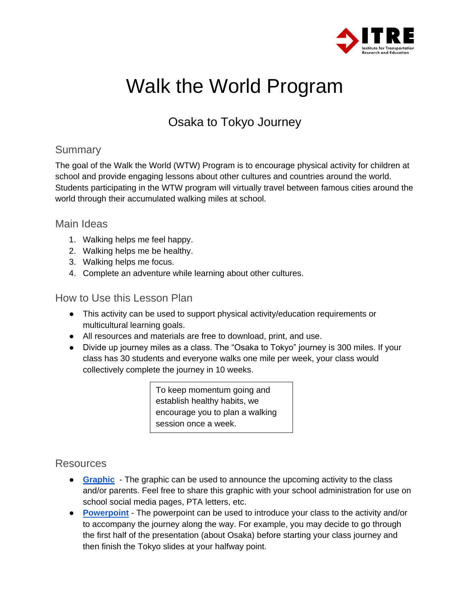

# Walk the World Program

# Osaka to Tokyo Journey

### **Summary**

The goal of the Walk the World (WTW) Program is to encourage physical activity for children at school and provide engaging lessons about other cultures and countries around the world. Students participating in the WTW program will virtually travel between famous cities around the world through their accumulated walking miles at school.

#### Main Ideas

- 1. Walking helps me feel happy.
- 2. Walking helps me be healthy.
- 3. Walking helps me focus.
- 4. Complete an adventure while learning about other cultures.

#### How to Use this Lesson Plan

- This activity can be used to support physical activity/education requirements or multicultural learning goals.
- All resources and materials are free to download, print, and use.
- Divide up journey miles as a class. The "Osaka to Tokyo" journey is 300 miles. If your class has 30 students and everyone walks one mile per week, your class would collectively complete the journey in 10 weeks.

To keep momentum going and establish healthy habits, we encourage you to plan a walking session once a week.

### Resources

- **[Graphic](https://ncvisionzero.org/wp-content/uploads/2022/06/Walk-the-World-Graphic-TJCOG-ITRE-2022.jpg)** The graphic can be used to announce the upcoming activity to the class and/or parents. Feel free to share this graphic with your school administration for use on school social media pages, PTA letters, etc.
- **[Powerpoint](https://ncvisionzero.org/wp-content/uploads/2022/06/Walk-the-World-Osaka-to-Tokyo-Presentation-TJCOG-ITRE-2022.pptx)** The powerpoint can be used to introduce your class to the activity and/or to accompany the journey along the way. For example, you may decide to go through the first half of the presentation (about Osaka) before starting your class journey and then finish the Tokyo slides at your halfway point.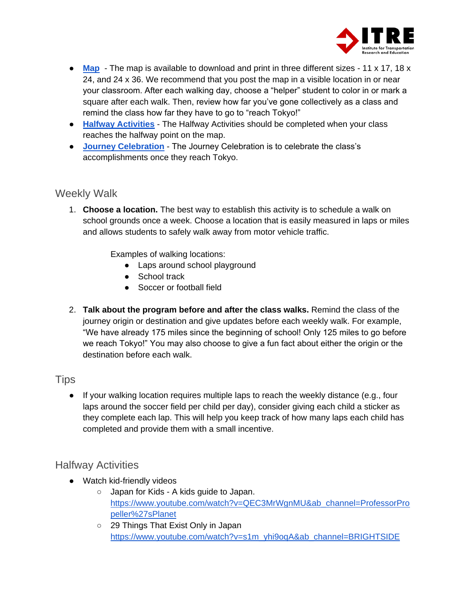

- **[Map](https://ncvisionzero.org/wp-content/uploads/2022/06/11-x-17-Osaka-to-Tokyo-TJCOG-ITRE-2022.jpg)** The map is available to download and print in three different sizes 11 x 17, 18 x 24, and 24 x 36. We recommend that you post the map in a visible location in or near your classroom. After each walking day, choose a "helper" student to color in or mark a square after each walk. Then, review how far you've gone collectively as a class and remind the class how far they have to go to "reach Tokyo!"
- **[Halfway Activities](#page-1-0)** The Halfway Activities should be completed when your class reaches the halfway point on the map.
- **[Journey Celebration](#page-2-0)** The Journey Celebration is to celebrate the class's accomplishments once they reach Tokyo.

#### Weekly Walk

1. **Choose a location.** The best way to establish this activity is to schedule a walk on school grounds once a week. Choose a location that is easily measured in laps or miles and allows students to safely walk away from motor vehicle traffic.

Examples of walking locations:

- Laps around school playground
- School track
- Soccer or football field
- 2. **Talk about the program before and after the class walks.** Remind the class of the journey origin or destination and give updates before each weekly walk. For example, "We have already 175 miles since the beginning of school! Only 125 miles to go before we reach Tokyo!" You may also choose to give a fun fact about either the origin or the destination before each walk.

#### **Tips**

● If your walking location requires multiple laps to reach the weekly distance (e.g., four laps around the soccer field per child per day), consider giving each child a sticker as they complete each lap. This will help you keep track of how many laps each child has completed and provide them with a small incentive.

### <span id="page-1-0"></span>Halfway Activities

- Watch kid-friendly videos
	- Japan for Kids A kids guide to Japan. [https://www.youtube.com/watch?v=QEC3MrWgnMU&ab\\_channel=ProfessorPro](https://www.youtube.com/watch?v=QEC3MrWgnMU&ab_channel=ProfessorPropeller%27sPlanet) [peller%27sPlanet](https://www.youtube.com/watch?v=QEC3MrWgnMU&ab_channel=ProfessorPropeller%27sPlanet)
	- 29 Things That Exist Only in Japan [https://www.youtube.com/watch?v=s1m\\_yhi9oqA&ab\\_channel=BRIGHTSIDE](https://www.youtube.com/watch?v=s1m_yhi9oqA&ab_channel=BRIGHTSIDE)